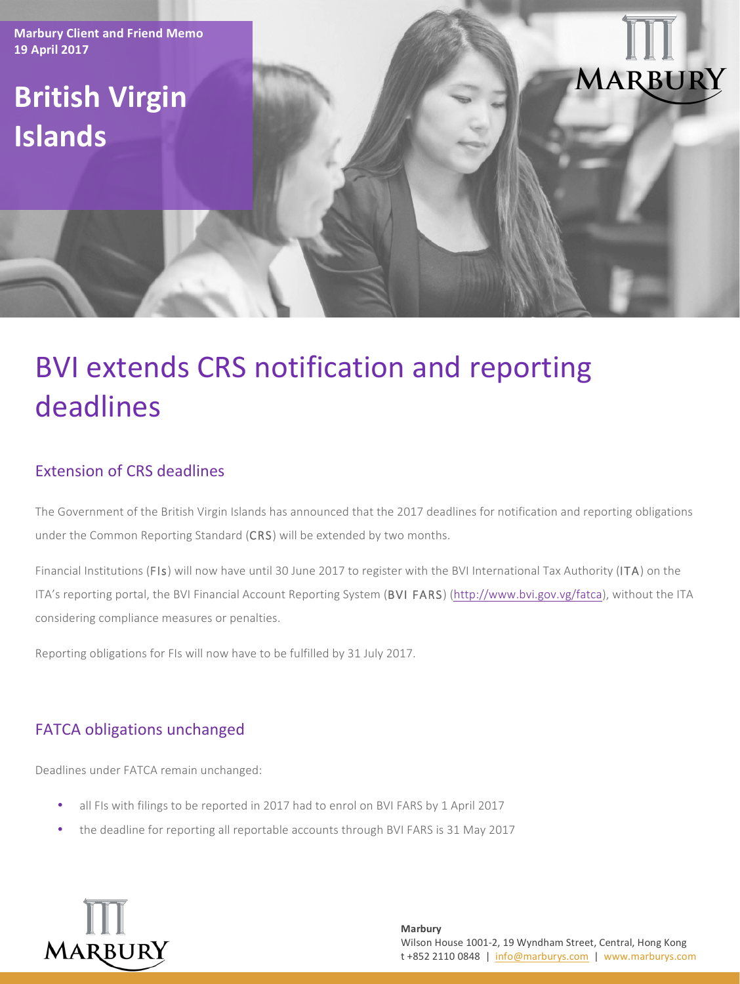**Marbury Client and Friend Memo 19 April 2017**

## **British Virgin Islands**

# MARBUR

## **BVI extends CRS notification and reporting** deadlines

#### Extension of CRS deadlines

The Government of the British Virgin Islands has announced that the 2017 deadlines for notification and reporting obligations under the Common Reporting Standard (CRS) will be extended by two months.

Financial Institutions (FIs) will now have until 30 June 2017 to register with the BVI International Tax Authority (ITA) on the ITA's reporting portal, the BVI Financial Account Reporting System (BVI FARS) (http://www.bvi.gov.vg/fatca), without the ITA considering compliance measures or penalties.

Reporting obligations for FIs will now have to be fulfilled by 31 July 2017.

#### FATCA obligations unchanged

Deadlines under FATCA remain unchanged:

- all FIs with filings to be reported in 2017 had to enrol on BVI FARS by 1 April 2017
- the deadline for reporting all reportable accounts through BVI FARS is 31 May 2017